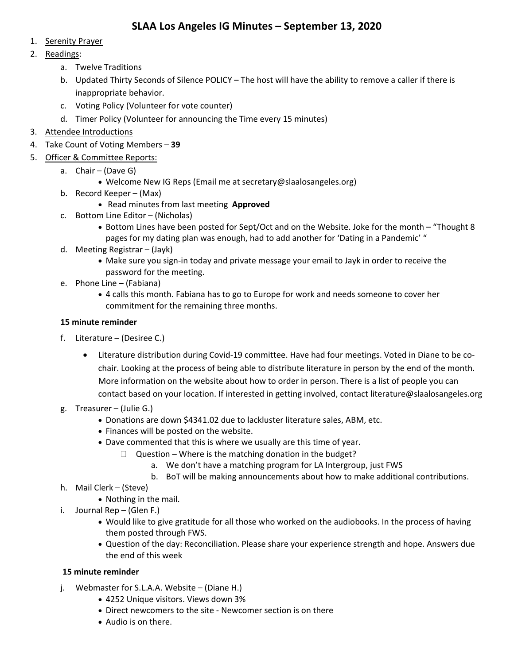- 1. Serenity Prayer
- 2. Readings:
	- a. Twelve Traditions
	- b. Updated Thirty Seconds of Silence POLICY The host will have the ability to remove a caller if there is inappropriate behavior.
	- c. Voting Policy (Volunteer for vote counter)
	- d. Timer Policy (Volunteer for announcing the Time every 15 minutes)
- 3. Attendee Introductions
- 4. Take Count of Voting Members **39**
- 5. Officer & Committee Reports:
	- a. Chair (Dave G)
		- Welcome New IG Reps (Email me at secretary@slaalosangeles.org)
	- b. Record Keeper (Max)
		- Read minutes from last meeting **Approved**
	- c. Bottom Line Editor (Nicholas)
		- Bottom Lines have been posted for Sept/Oct and on the Website. Joke for the month "Thought 8 pages for my dating plan was enough, had to add another for 'Dating in a Pandemic' "
	- d. Meeting Registrar (Jayk)
		- Make sure you sign‐in today and private message your email to Jayk in order to receive the password for the meeting.
	- e. Phone Line (Fabiana)
		- 4 calls this month. Fabiana has to go to Europe for work and needs someone to cover her commitment for the remaining three months.

### **15 minute reminder**

- f. Literature (Desiree C.)
	- Literature distribution during Covid-19 committee. Have had four meetings. Voted in Diane to be cochair. Looking at the process of being able to distribute literature in person by the end of the month. More information on the website about how to order in person. There is a list of people you can contact based on your location. If interested in getting involved, contact literature@slaalosangeles.org
- g. Treasurer (Julie G.)
	- Donations are down \$4341.02 due to lackluster literature sales, ABM, etc.
	- Finances will be posted on the website.
	- Dave commented that this is where we usually are this time of year.
		- $\Box$  Question Where is the matching donation in the budget?
			- a. We don't have a matching program for LA Intergroup, just FWS
			- b. BoT will be making announcements about how to make additional contributions.
- h. Mail Clerk (Steve)
	- Nothing in the mail.
- i. Journal Rep (Glen F.)
	- Would like to give gratitude for all those who worked on the audiobooks. In the process of having them posted through FWS.
	- Question of the day: Reconciliation. Please share your experience strength and hope. Answers due the end of this week

### **15 minute reminder**

- j. Webmaster for S.L.A.A. Website (Diane H.)
	- 4252 Unique visitors. Views down 3%
	- Direct newcomers to the site ‐ Newcomer section is on there
	- Audio is on there.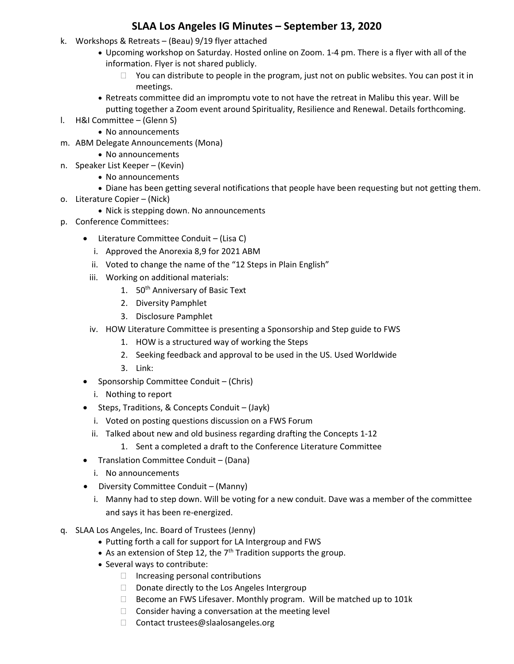- k. Workshops & Retreats (Beau) 9/19 flyer attached
	- Upcoming workshop on Saturday. Hosted online on Zoom. 1‐4 pm. There is a flyer with all of the information. Flyer is not shared publicly.
		- $\Box$  You can distribute to people in the program, just not on public websites. You can post it in meetings.
	- Retreats committee did an impromptu vote to not have the retreat in Malibu this year. Will be putting together a Zoom event around Spirituality, Resilience and Renewal. Details forthcoming.
- l. H&I Committee (Glenn S)
	- No announcements
- m. ABM Delegate Announcements (Mona)
	- No announcements
- n. Speaker List Keeper (Kevin)
	- No announcements
	- Diane has been getting several notifications that people have been requesting but not getting them.
- o. Literature Copier (Nick)
	- Nick is stepping down. No announcements
- p. Conference Committees:
	- Literature Committee Conduit (Lisa C)
		- i. Approved the Anorexia 8,9 for 2021 ABM
		- ii. Voted to change the name of the "12 Steps in Plain English"
		- iii. Working on additional materials:
			- 1. 50<sup>th</sup> Anniversary of Basic Text
			- 2. Diversity Pamphlet
			- 3. Disclosure Pamphlet
		- iv. HOW Literature Committee is presenting a Sponsorship and Step guide to FWS
			- 1. HOW is a structured way of working the Steps
			- 2. Seeking feedback and approval to be used in the US. Used Worldwide
			- 3. Link:
	- Sponsorship Committee Conduit (Chris)
		- i. Nothing to report
	- Steps, Traditions, & Concepts Conduit (Jayk)
		- i. Voted on posting questions discussion on a FWS Forum
		- ii. Talked about new and old business regarding drafting the Concepts 1‐12
			- 1. Sent a completed a draft to the Conference Literature Committee
	- Translation Committee Conduit (Dana)
		- i. No announcements
	- Diversity Committee Conduit (Manny)
		- i. Manny had to step down. Will be voting for a new conduit. Dave was a member of the committee and says it has been re‐energized.
- q. SLAA Los Angeles, Inc. Board of Trustees (Jenny)
	- Putting forth a call for support for LA Intergroup and FWS
	- As an extension of Step 12, the  $7<sup>th</sup>$  Tradition supports the group.
	- Several ways to contribute:
		- $\Box$  Increasing personal contributions
		- $\Box$  Donate directly to the Los Angeles Intergroup
		- $\Box$  Become an FWS Lifesaver. Monthly program. Will be matched up to 101 $k$
		- $\Box$  Consider having a conversation at the meeting level
		- □ Contact trustees@slaalosangeles.org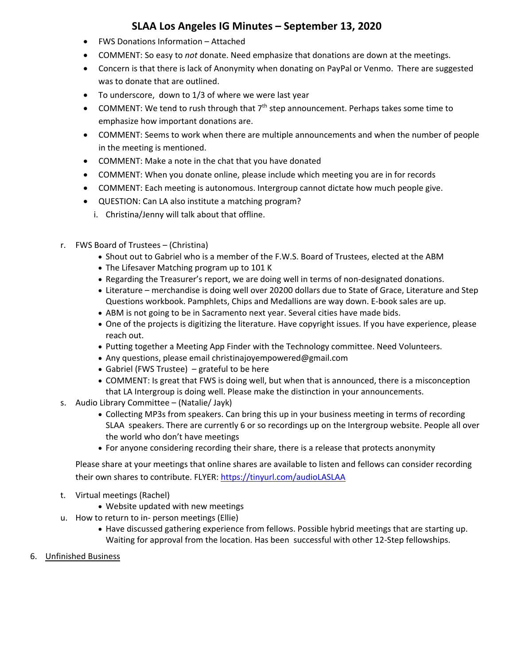- FWS Donations Information Attached
- COMMENT: So easy to *not* donate. Need emphasize that donations are down at the meetings.
- Concern is that there is lack of Anonymity when donating on PayPal or Venmo. There are suggested was to donate that are outlined.
- To underscore, down to 1/3 of where we were last year
- COMMENT: We tend to rush through that  $7<sup>th</sup>$  step announcement. Perhaps takes some time to emphasize how important donations are.
- COMMENT: Seems to work when there are multiple announcements and when the number of people in the meeting is mentioned.
- COMMENT: Make a note in the chat that you have donated
- COMMENT: When you donate online, please include which meeting you are in for records
- COMMENT: Each meeting is autonomous. Intergroup cannot dictate how much people give.
- QUESTION: Can LA also institute a matching program?
	- i. Christina/Jenny will talk about that offline.
- r. FWS Board of Trustees (Christina)
	- Shout out to Gabriel who is a member of the F.W.S. Board of Trustees, elected at the ABM
	- The Lifesaver Matching program up to 101 K
	- Regarding the Treasurer's report, we are doing well in terms of non‐designated donations.
	- Literature merchandise is doing well over 20200 dollars due to State of Grace, Literature and Step Questions workbook. Pamphlets, Chips and Medallions are way down. E‐book sales are up.
	- ABM is not going to be in Sacramento next year. Several cities have made bids.
	- One of the projects is digitizing the literature. Have copyright issues. If you have experience, please reach out.
	- Putting together a Meeting App Finder with the Technology committee. Need Volunteers.
	- Any questions, please email christinajoyempowered@gmail.com
	- Gabriel (FWS Trustee) grateful to be here
	- COMMENT: Is great that FWS is doing well, but when that is announced, there is a misconception that LA Intergroup is doing well. Please make the distinction in your announcements.
- s. Audio Library Committee (Natalie/ Jayk)
	- Collecting MP3s from speakers. Can bring this up in your business meeting in terms of recording SLAA speakers. There are currently 6 or so recordings up on the Intergroup website. People all over the world who don't have meetings
	- For anyone considering recording their share, there is a release that protects anonymity

Please share at your meetings that online shares are available to listen and fellows can consider recording their own shares to contribute. FLYER: https://tinyurl.com/audioLASLAA

- t. Virtual meetings (Rachel)
	- Website updated with new meetings
- u. How to return to in‐ person meetings (Ellie)
	- Have discussed gathering experience from fellows. Possible hybrid meetings that are starting up. Waiting for approval from the location. Has been successful with other 12‐Step fellowships.
- 6. Unfinished Business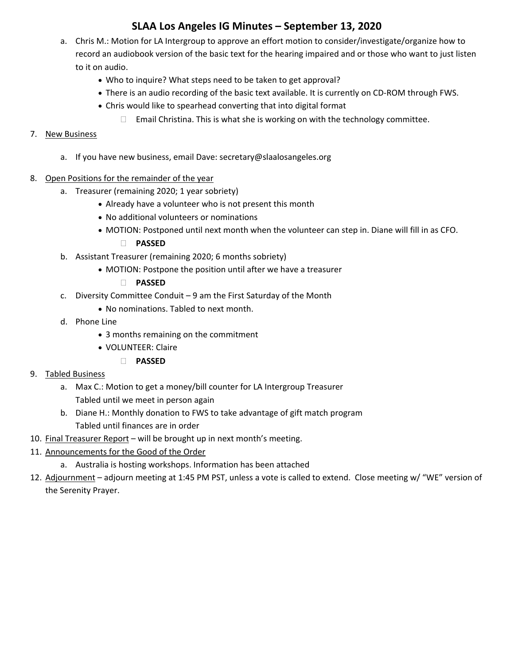- a. Chris M.: Motion for LA Intergroup to approve an effort motion to consider/investigate/organize how to record an audiobook version of the basic text for the hearing impaired and or those who want to just listen to it on audio.
	- Who to inquire? What steps need to be taken to get approval?
	- There is an audio recording of the basic text available. It is currently on CD-ROM through FWS.
	- Chris would like to spearhead converting that into digital format
		- $\Box$  Email Christina. This is what she is working on with the technology committee.

### 7. New Business

- a. If you have new business, email Dave: secretary@slaalosangeles.org
- 8. Open Positions for the remainder of the year
	- a. Treasurer (remaining 2020; 1 year sobriety)
		- Already have a volunteer who is not present this month
		- No additional volunteers or nominations
		- MOTION: Postponed until next month when the volunteer can step in. Diane will fill in as CFO.
			- **PASSED**
	- b. Assistant Treasurer (remaining 2020; 6 months sobriety)
		- MOTION: Postpone the position until after we have a treasurer
			- **PASSED**
	- c. Diversity Committee Conduit 9 am the First Saturday of the Month
		- No nominations. Tabled to next month.
	- d. Phone Line
		- 3 months remaining on the commitment
		- VOLUNTEER: Claire
			- **PASSED**
- 9. Tabled Business
	- a. Max C.: Motion to get a money/bill counter for LA Intergroup Treasurer Tabled until we meet in person again
	- b. Diane H.: Monthly donation to FWS to take advantage of gift match program Tabled until finances are in order
- 10. Final Treasurer Report will be brought up in next month's meeting.
- 11. Announcements for the Good of the Order
	- a. Australia is hosting workshops. Information has been attached
- 12. Adjournment adjourn meeting at 1:45 PM PST, unless a vote is called to extend. Close meeting w/ "WE" version of the Serenity Prayer.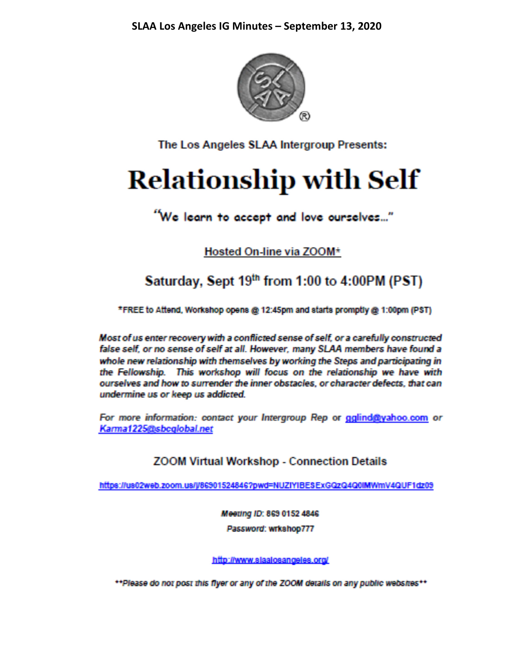

The Los Angeles SLAA Intergroup Presents:

# **Relationship with Self**

## "We learn to accept and love ourselves..."

Hosted On-line via ZOOM\*

## Saturday, Sept 19th from 1:00 to 4:00PM (PST)

\*FREE to Attend, Workshop opens @ 12:45pm and starts promptly @ 1:00pm (PST)

Most of us enter recovery with a conflicted sense of self, or a carefully constructed false self, or no sense of self at all. However, many SLAA members have found a whole new relationship with themselves by working the Steps and participating in the Fellowship. This workshop will focus on the relationship we have with ourselves and how to surrender the inner obstacles, or character defects, that can undermine us or keep us addicted.

For more information: contact your Intergroup Rep or gglind@yahoo.com or Karma1225@sbcglobal.net

## **ZOOM Virtual Workshop - Connection Details**

https://us02web.zoom.us/j/86901524846?pwd=NUZIYIBESExGQzQ4Q0IMWmV4QUF1dz09

Meeting ID: 869 0152 4846 Password: wrkshop777

http://www.slaalosangeles.org/

\*\*Please do not post this flyer or any of the ZOOM details on any public websites\*\*